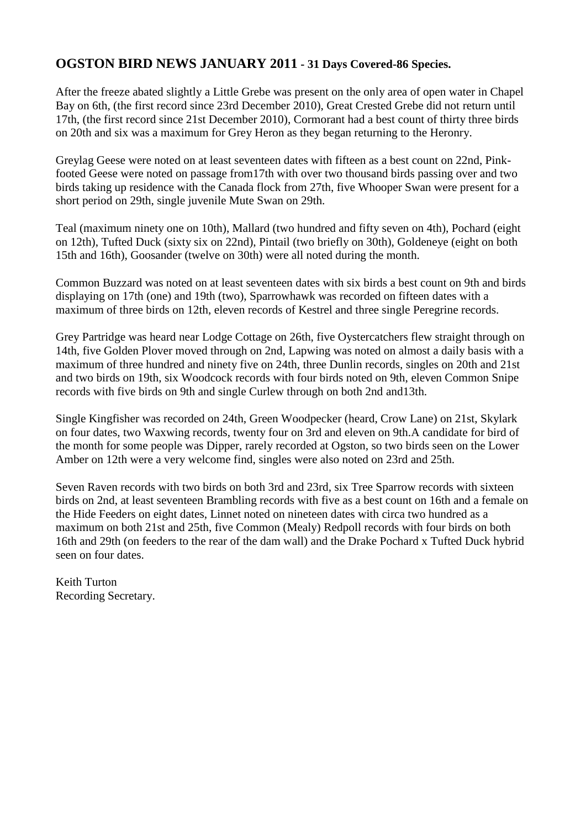### **OGSTON BIRD NEWS JANUARY 2011 - 31 Days Covered-86 Species.**

After the freeze abated slightly a Little Grebe was present on the only area of open water in Chapel Bay on 6th, (the first record since 23rd December 2010), Great Crested Grebe did not return until 17th, (the first record since 21st December 2010), Cormorant had a best count of thirty three birds on 20th and six was a maximum for Grey Heron as they began returning to the Heronry.

Greylag Geese were noted on at least seventeen dates with fifteen as a best count on 22nd, Pinkfooted Geese were noted on passage from17th with over two thousand birds passing over and two birds taking up residence with the Canada flock from 27th, five Whooper Swan were present for a short period on 29th, single juvenile Mute Swan on 29th.

Teal (maximum ninety one on 10th), Mallard (two hundred and fifty seven on 4th), Pochard (eight on 12th), Tufted Duck (sixty six on 22nd), Pintail (two briefly on 30th), Goldeneye (eight on both 15th and 16th), Goosander (twelve on 30th) were all noted during the month.

Common Buzzard was noted on at least seventeen dates with six birds a best count on 9th and birds displaying on 17th (one) and 19th (two), Sparrowhawk was recorded on fifteen dates with a maximum of three birds on 12th, eleven records of Kestrel and three single Peregrine records.

Grey Partridge was heard near Lodge Cottage on 26th, five Oystercatchers flew straight through on 14th, five Golden Plover moved through on 2nd, Lapwing was noted on almost a daily basis with a maximum of three hundred and ninety five on 24th, three Dunlin records, singles on 20th and 21st and two birds on 19th, six Woodcock records with four birds noted on 9th, eleven Common Snipe records with five birds on 9th and single Curlew through on both 2nd and13th.

Single Kingfisher was recorded on 24th, Green Woodpecker (heard, Crow Lane) on 21st, Skylark on four dates, two Waxwing records, twenty four on 3rd and eleven on 9th.A candidate for bird of the month for some people was Dipper, rarely recorded at Ogston, so two birds seen on the Lower Amber on 12th were a very welcome find, singles were also noted on 23rd and 25th.

Seven Raven records with two birds on both 3rd and 23rd, six Tree Sparrow records with sixteen birds on 2nd, at least seventeen Brambling records with five as a best count on 16th and a female on the Hide Feeders on eight dates, Linnet noted on nineteen dates with circa two hundred as a maximum on both 21st and 25th, five Common (Mealy) Redpoll records with four birds on both 16th and 29th (on feeders to the rear of the dam wall) and the Drake Pochard x Tufted Duck hybrid seen on four dates.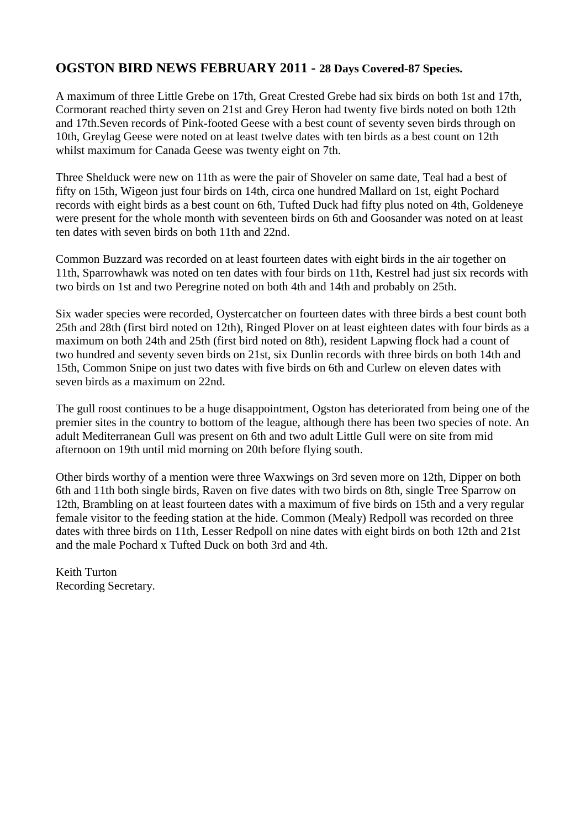### **OGSTON BIRD NEWS FEBRUARY 2011 - 28 Days Covered-87 Species.**

A maximum of three Little Grebe on 17th, Great Crested Grebe had six birds on both 1st and 17th, Cormorant reached thirty seven on 21st and Grey Heron had twenty five birds noted on both 12th and 17th.Seven records of Pink-footed Geese with a best count of seventy seven birds through on 10th, Greylag Geese were noted on at least twelve dates with ten birds as a best count on 12th whilst maximum for Canada Geese was twenty eight on 7th.

Three Shelduck were new on 11th as were the pair of Shoveler on same date, Teal had a best of fifty on 15th, Wigeon just four birds on 14th, circa one hundred Mallard on 1st, eight Pochard records with eight birds as a best count on 6th, Tufted Duck had fifty plus noted on 4th, Goldeneye were present for the whole month with seventeen birds on 6th and Goosander was noted on at least ten dates with seven birds on both 11th and 22nd.

Common Buzzard was recorded on at least fourteen dates with eight birds in the air together on 11th, Sparrowhawk was noted on ten dates with four birds on 11th, Kestrel had just six records with two birds on 1st and two Peregrine noted on both 4th and 14th and probably on 25th.

Six wader species were recorded, Oystercatcher on fourteen dates with three birds a best count both 25th and 28th (first bird noted on 12th), Ringed Plover on at least eighteen dates with four birds as a maximum on both 24th and 25th (first bird noted on 8th), resident Lapwing flock had a count of two hundred and seventy seven birds on 21st, six Dunlin records with three birds on both 14th and 15th, Common Snipe on just two dates with five birds on 6th and Curlew on eleven dates with seven birds as a maximum on 22nd.

The gull roost continues to be a huge disappointment, Ogston has deteriorated from being one of the premier sites in the country to bottom of the league, although there has been two species of note. An adult Mediterranean Gull was present on 6th and two adult Little Gull were on site from mid afternoon on 19th until mid morning on 20th before flying south.

Other birds worthy of a mention were three Waxwings on 3rd seven more on 12th, Dipper on both 6th and 11th both single birds, Raven on five dates with two birds on 8th, single Tree Sparrow on 12th, Brambling on at least fourteen dates with a maximum of five birds on 15th and a very regular female visitor to the feeding station at the hide. Common (Mealy) Redpoll was recorded on three dates with three birds on 11th, Lesser Redpoll on nine dates with eight birds on both 12th and 21st and the male Pochard x Tufted Duck on both 3rd and 4th.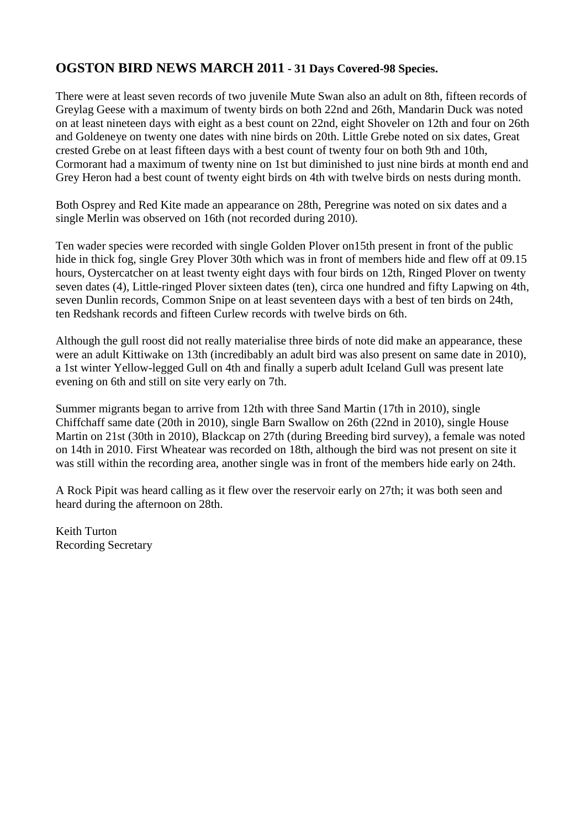## **OGSTON BIRD NEWS MARCH 2011 - 31 Days Covered-98 Species.**

There were at least seven records of two juvenile Mute Swan also an adult on 8th, fifteen records of Greylag Geese with a maximum of twenty birds on both 22nd and 26th, Mandarin Duck was noted on at least nineteen days with eight as a best count on 22nd, eight Shoveler on 12th and four on 26th and Goldeneye on twenty one dates with nine birds on 20th. Little Grebe noted on six dates, Great crested Grebe on at least fifteen days with a best count of twenty four on both 9th and 10th, Cormorant had a maximum of twenty nine on 1st but diminished to just nine birds at month end and Grey Heron had a best count of twenty eight birds on 4th with twelve birds on nests during month.

Both Osprey and Red Kite made an appearance on 28th, Peregrine was noted on six dates and a single Merlin was observed on 16th (not recorded during 2010).

Ten wader species were recorded with single Golden Plover on15th present in front of the public hide in thick fog, single Grey Plover 30th which was in front of members hide and flew off at 09.15 hours, Oystercatcher on at least twenty eight days with four birds on 12th, Ringed Plover on twenty seven dates (4), Little-ringed Plover sixteen dates (ten), circa one hundred and fifty Lapwing on 4th, seven Dunlin records, Common Snipe on at least seventeen days with a best of ten birds on 24th, ten Redshank records and fifteen Curlew records with twelve birds on 6th.

Although the gull roost did not really materialise three birds of note did make an appearance, these were an adult Kittiwake on 13th (incredibably an adult bird was also present on same date in 2010), a 1st winter Yellow-legged Gull on 4th and finally a superb adult Iceland Gull was present late evening on 6th and still on site very early on 7th.

Summer migrants began to arrive from 12th with three Sand Martin (17th in 2010), single Chiffchaff same date (20th in 2010), single Barn Swallow on 26th (22nd in 2010), single House Martin on 21st (30th in 2010), Blackcap on 27th (during Breeding bird survey), a female was noted on 14th in 2010. First Wheatear was recorded on 18th, although the bird was not present on site it was still within the recording area, another single was in front of the members hide early on 24th.

A Rock Pipit was heard calling as it flew over the reservoir early on 27th; it was both seen and heard during the afternoon on 28th.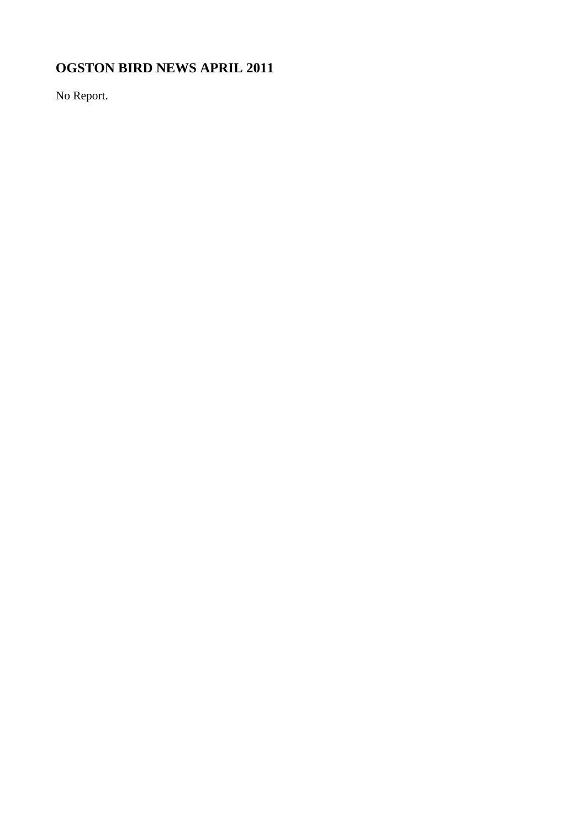# **OGSTON BIRD NEWS APRIL 2011**

No Report.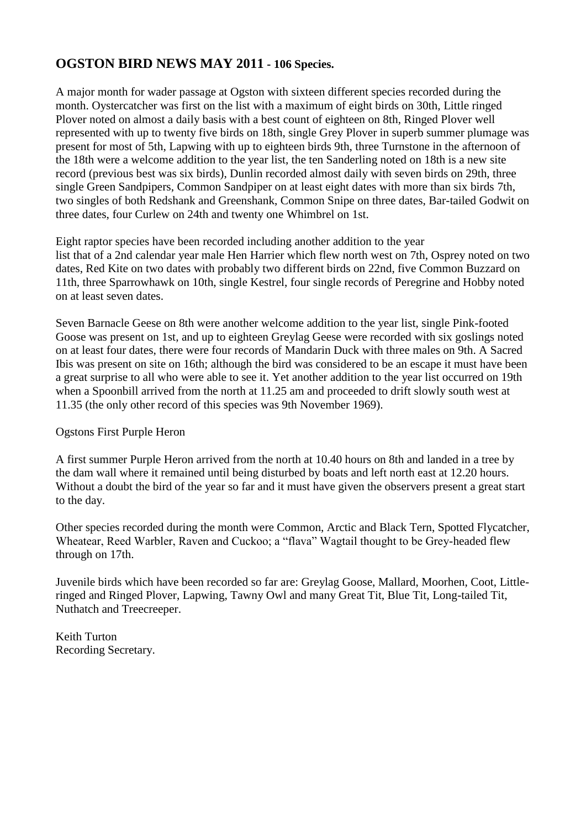## **OGSTON BIRD NEWS MAY 2011 - 106 Species.**

A major month for wader passage at Ogston with sixteen different species recorded during the month. Oystercatcher was first on the list with a maximum of eight birds on 30th, Little ringed Plover noted on almost a daily basis with a best count of eighteen on 8th, Ringed Plover well represented with up to twenty five birds on 18th, single Grey Plover in superb summer plumage was present for most of 5th, Lapwing with up to eighteen birds 9th, three Turnstone in the afternoon of the 18th were a welcome addition to the year list, the ten Sanderling noted on 18th is a new site record (previous best was six birds), Dunlin recorded almost daily with seven birds on 29th, three single Green Sandpipers, Common Sandpiper on at least eight dates with more than six birds 7th, two singles of both Redshank and Greenshank, Common Snipe on three dates, Bar-tailed Godwit on three dates, four Curlew on 24th and twenty one Whimbrel on 1st.

Eight raptor species have been recorded including another addition to the year list that of a 2nd calendar year male Hen Harrier which flew north west on 7th, Osprey noted on two dates, Red Kite on two dates with probably two different birds on 22nd, five Common Buzzard on 11th, three Sparrowhawk on 10th, single Kestrel, four single records of Peregrine and Hobby noted on at least seven dates.

Seven Barnacle Geese on 8th were another welcome addition to the year list, single Pink-footed Goose was present on 1st, and up to eighteen Greylag Geese were recorded with six goslings noted on at least four dates, there were four records of Mandarin Duck with three males on 9th. A Sacred Ibis was present on site on 16th; although the bird was considered to be an escape it must have been a great surprise to all who were able to see it. Yet another addition to the year list occurred on 19th when a Spoonbill arrived from the north at 11.25 am and proceeded to drift slowly south west at 11.35 (the only other record of this species was 9th November 1969).

Ogstons First Purple Heron

A first summer Purple Heron arrived from the north at 10.40 hours on 8th and landed in a tree by the dam wall where it remained until being disturbed by boats and left north east at 12.20 hours. Without a doubt the bird of the year so far and it must have given the observers present a great start to the day.

Other species recorded during the month were Common, Arctic and Black Tern, Spotted Flycatcher, Wheatear, Reed Warbler, Raven and Cuckoo; a "flava" Wagtail thought to be Grey-headed flew through on 17th.

Juvenile birds which have been recorded so far are: Greylag Goose, Mallard, Moorhen, Coot, Littleringed and Ringed Plover, Lapwing, Tawny Owl and many Great Tit, Blue Tit, Long-tailed Tit, Nuthatch and Treecreeper.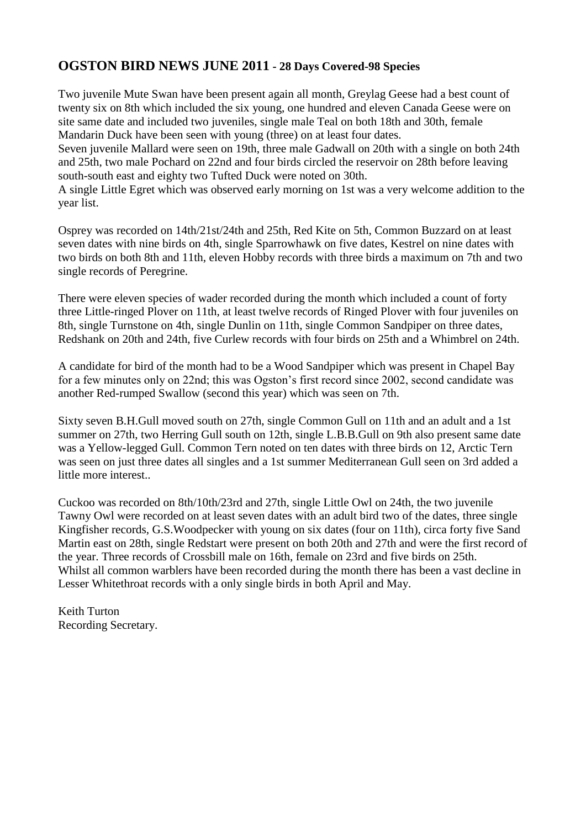#### **OGSTON BIRD NEWS JUNE 2011 - 28 Days Covered-98 Species**

Two juvenile Mute Swan have been present again all month, Greylag Geese had a best count of twenty six on 8th which included the six young, one hundred and eleven Canada Geese were on site same date and included two juveniles, single male Teal on both 18th and 30th, female Mandarin Duck have been seen with young (three) on at least four dates. Seven juvenile Mallard were seen on 19th, three male Gadwall on 20th with a single on both 24th and 25th, two male Pochard on 22nd and four birds circled the reservoir on 28th before leaving south-south east and eighty two Tufted Duck were noted on 30th. A single Little Egret which was observed early morning on 1st was a very welcome addition to the

year list.

Osprey was recorded on 14th/21st/24th and 25th, Red Kite on 5th, Common Buzzard on at least seven dates with nine birds on 4th, single Sparrowhawk on five dates, Kestrel on nine dates with two birds on both 8th and 11th, eleven Hobby records with three birds a maximum on 7th and two single records of Peregrine.

There were eleven species of wader recorded during the month which included a count of forty three Little-ringed Plover on 11th, at least twelve records of Ringed Plover with four juveniles on 8th, single Turnstone on 4th, single Dunlin on 11th, single Common Sandpiper on three dates, Redshank on 20th and 24th, five Curlew records with four birds on 25th and a Whimbrel on 24th.

A candidate for bird of the month had to be a Wood Sandpiper which was present in Chapel Bay for a few minutes only on 22nd; this was Ogston's first record since 2002, second candidate was another Red-rumped Swallow (second this year) which was seen on 7th.

Sixty seven B.H.Gull moved south on 27th, single Common Gull on 11th and an adult and a 1st summer on 27th, two Herring Gull south on 12th, single L.B.B.Gull on 9th also present same date was a Yellow-legged Gull. Common Tern noted on ten dates with three birds on 12, Arctic Tern was seen on just three dates all singles and a 1st summer Mediterranean Gull seen on 3rd added a little more interest..

Cuckoo was recorded on 8th/10th/23rd and 27th, single Little Owl on 24th, the two juvenile Tawny Owl were recorded on at least seven dates with an adult bird two of the dates, three single Kingfisher records, G.S.Woodpecker with young on six dates (four on 11th), circa forty five Sand Martin east on 28th, single Redstart were present on both 20th and 27th and were the first record of the year. Three records of Crossbill male on 16th, female on 23rd and five birds on 25th. Whilst all common warblers have been recorded during the month there has been a vast decline in Lesser Whitethroat records with a only single birds in both April and May.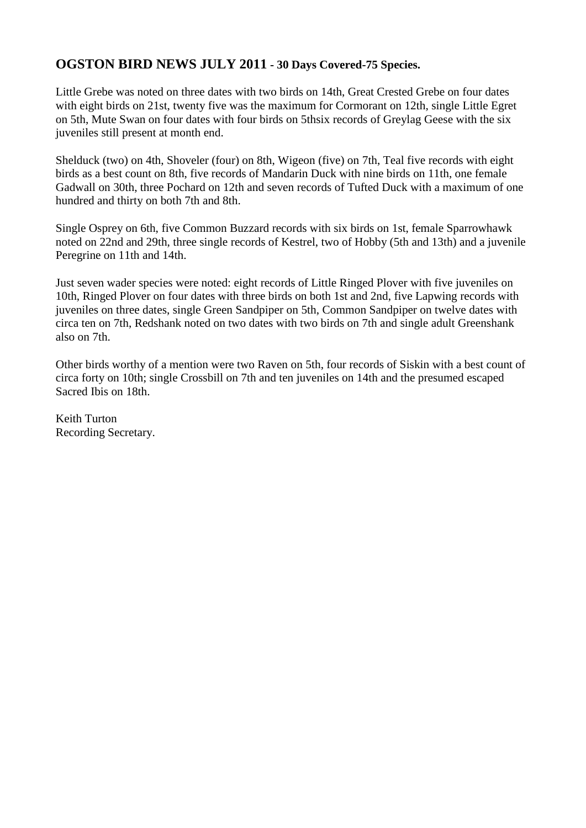#### **OGSTON BIRD NEWS JULY 2011 - 30 Days Covered-75 Species.**

Little Grebe was noted on three dates with two birds on 14th, Great Crested Grebe on four dates with eight birds on 21st, twenty five was the maximum for Cormorant on 12th, single Little Egret on 5th, Mute Swan on four dates with four birds on 5thsix records of Greylag Geese with the six juveniles still present at month end.

Shelduck (two) on 4th, Shoveler (four) on 8th, Wigeon (five) on 7th, Teal five records with eight birds as a best count on 8th, five records of Mandarin Duck with nine birds on 11th, one female Gadwall on 30th, three Pochard on 12th and seven records of Tufted Duck with a maximum of one hundred and thirty on both 7th and 8th.

Single Osprey on 6th, five Common Buzzard records with six birds on 1st, female Sparrowhawk noted on 22nd and 29th, three single records of Kestrel, two of Hobby (5th and 13th) and a juvenile Peregrine on 11th and 14th.

Just seven wader species were noted: eight records of Little Ringed Plover with five juveniles on 10th, Ringed Plover on four dates with three birds on both 1st and 2nd, five Lapwing records with juveniles on three dates, single Green Sandpiper on 5th, Common Sandpiper on twelve dates with circa ten on 7th, Redshank noted on two dates with two birds on 7th and single adult Greenshank also on 7th.

Other birds worthy of a mention were two Raven on 5th, four records of Siskin with a best count of circa forty on 10th; single Crossbill on 7th and ten juveniles on 14th and the presumed escaped Sacred Ibis on 18th.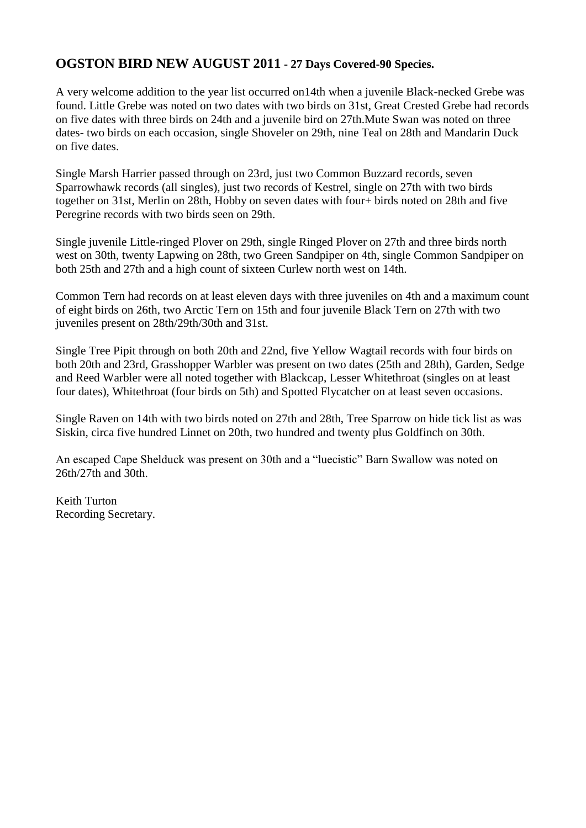## **OGSTON BIRD NEW AUGUST 2011 - 27 Days Covered-90 Species.**

A very welcome addition to the year list occurred on14th when a juvenile Black-necked Grebe was found. Little Grebe was noted on two dates with two birds on 31st, Great Crested Grebe had records on five dates with three birds on 24th and a juvenile bird on 27th.Mute Swan was noted on three dates- two birds on each occasion, single Shoveler on 29th, nine Teal on 28th and Mandarin Duck on five dates.

Single Marsh Harrier passed through on 23rd, just two Common Buzzard records, seven Sparrowhawk records (all singles), just two records of Kestrel, single on 27th with two birds together on 31st, Merlin on 28th, Hobby on seven dates with four+ birds noted on 28th and five Peregrine records with two birds seen on 29th.

Single juvenile Little-ringed Plover on 29th, single Ringed Plover on 27th and three birds north west on 30th, twenty Lapwing on 28th, two Green Sandpiper on 4th, single Common Sandpiper on both 25th and 27th and a high count of sixteen Curlew north west on 14th.

Common Tern had records on at least eleven days with three juveniles on 4th and a maximum count of eight birds on 26th, two Arctic Tern on 15th and four juvenile Black Tern on 27th with two juveniles present on 28th/29th/30th and 31st.

Single Tree Pipit through on both 20th and 22nd, five Yellow Wagtail records with four birds on both 20th and 23rd, Grasshopper Warbler was present on two dates (25th and 28th), Garden, Sedge and Reed Warbler were all noted together with Blackcap, Lesser Whitethroat (singles on at least four dates), Whitethroat (four birds on 5th) and Spotted Flycatcher on at least seven occasions.

Single Raven on 14th with two birds noted on 27th and 28th, Tree Sparrow on hide tick list as was Siskin, circa five hundred Linnet on 20th, two hundred and twenty plus Goldfinch on 30th.

An escaped Cape Shelduck was present on 30th and a "luecistic" Barn Swallow was noted on 26th/27th and 30th.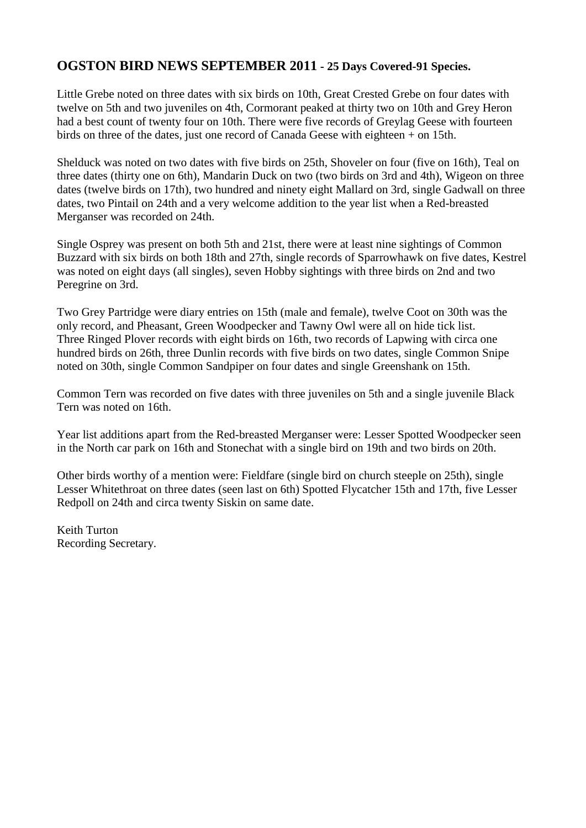#### **OGSTON BIRD NEWS SEPTEMBER 2011 - 25 Days Covered-91 Species.**

Little Grebe noted on three dates with six birds on 10th, Great Crested Grebe on four dates with twelve on 5th and two juveniles on 4th, Cormorant peaked at thirty two on 10th and Grey Heron had a best count of twenty four on 10th. There were five records of Greylag Geese with fourteen birds on three of the dates, just one record of Canada Geese with eighteen + on 15th.

Shelduck was noted on two dates with five birds on 25th, Shoveler on four (five on 16th), Teal on three dates (thirty one on 6th), Mandarin Duck on two (two birds on 3rd and 4th), Wigeon on three dates (twelve birds on 17th), two hundred and ninety eight Mallard on 3rd, single Gadwall on three dates, two Pintail on 24th and a very welcome addition to the year list when a Red-breasted Merganser was recorded on 24th.

Single Osprey was present on both 5th and 21st, there were at least nine sightings of Common Buzzard with six birds on both 18th and 27th, single records of Sparrowhawk on five dates, Kestrel was noted on eight days (all singles), seven Hobby sightings with three birds on 2nd and two Peregrine on 3rd.

Two Grey Partridge were diary entries on 15th (male and female), twelve Coot on 30th was the only record, and Pheasant, Green Woodpecker and Tawny Owl were all on hide tick list. Three Ringed Plover records with eight birds on 16th, two records of Lapwing with circa one hundred birds on 26th, three Dunlin records with five birds on two dates, single Common Snipe noted on 30th, single Common Sandpiper on four dates and single Greenshank on 15th.

Common Tern was recorded on five dates with three juveniles on 5th and a single juvenile Black Tern was noted on 16th.

Year list additions apart from the Red-breasted Merganser were: Lesser Spotted Woodpecker seen in the North car park on 16th and Stonechat with a single bird on 19th and two birds on 20th.

Other birds worthy of a mention were: Fieldfare (single bird on church steeple on 25th), single Lesser Whitethroat on three dates (seen last on 6th) Spotted Flycatcher 15th and 17th, five Lesser Redpoll on 24th and circa twenty Siskin on same date.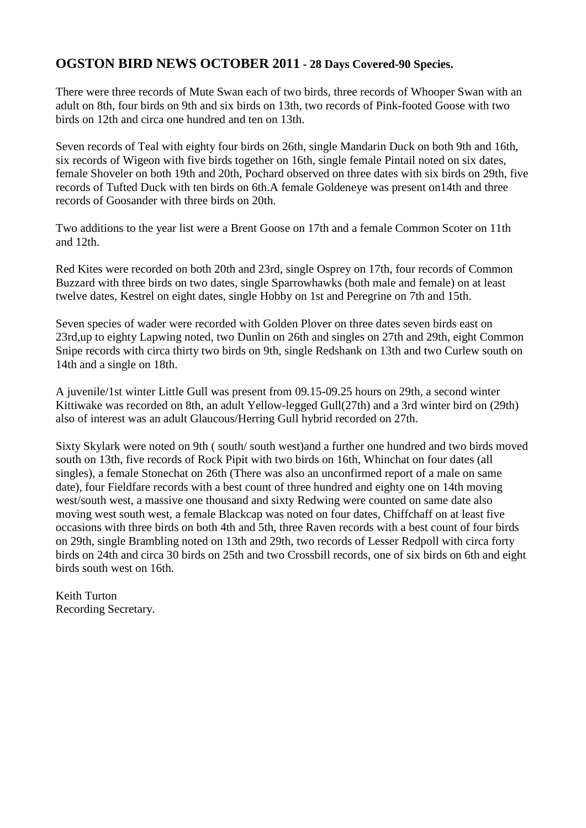#### **OGSTON BIRD NEWS OCTOBER 2011 - 28 Days Covered-90 Species.**

There were three records of Mute Swan each of two birds, three records of Whooper Swan with an adult on 8th, four birds on 9th and six birds on 13th, two records of Pink-footed Goose with two birds on 12th and circa one hundred and ten on 13th.

Seven records of Teal with eighty four birds on 26th, single Mandarin Duck on both 9th and 16th, six records of Wigeon with five birds together on 16th, single female Pintail noted on six dates, female Shoveler on both 19th and 20th, Pochard observed on three dates with six birds on 29th, five records of Tufted Duck with ten birds on 6th.A female Goldeneye was present on14th and three records of Goosander with three birds on 20th.

Two additions to the year list were a Brent Goose on 17th and a female Common Scoter on 11th and 12th.

Red Kites were recorded on both 20th and 23rd, single Osprey on 17th, four records of Common Buzzard with three birds on two dates, single Sparrowhawks (both male and female) on at least twelve dates, Kestrel on eight dates, single Hobby on 1st and Peregrine on 7th and 15th.

Seven species of wader were recorded with Golden Plover on three dates seven birds east on 23rd,up to eighty Lapwing noted, two Dunlin on 26th and singles on 27th and 29th, eight Common Snipe records with circa thirty two birds on 9th, single Redshank on 13th and two Curlew south on 14th and a single on 18th.

A juvenile/1st winter Little Gull was present from 09.15-09.25 hours on 29th, a second winter Kittiwake was recorded on 8th, an adult Yellow-legged Gull(27th) and a 3rd winter bird on (29th) also of interest was an adult Glaucous/Herring Gull hybrid recorded on 27th.

Sixty Skylark were noted on 9th ( south/ south west)and a further one hundred and two birds moved south on 13th, five records of Rock Pipit with two birds on 16th, Whinchat on four dates (all singles), a female Stonechat on 26th (There was also an unconfirmed report of a male on same date), four Fieldfare records with a best count of three hundred and eighty one on 14th moving west/south west, a massive one thousand and sixty Redwing were counted on same date also moving west south west, a female Blackcap was noted on four dates, Chiffchaff on at least five occasions with three birds on both 4th and 5th, three Raven records with a best count of four birds on 29th, single Brambling noted on 13th and 29th, two records of Lesser Redpoll with circa forty birds on 24th and circa 30 birds on 25th and two Crossbill records, one of six birds on 6th and eight birds south west on 16th.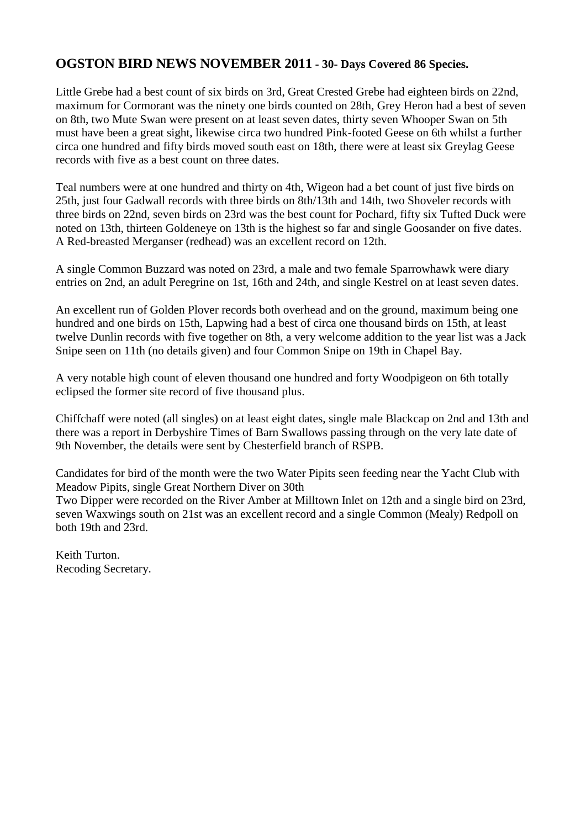#### **OGSTON BIRD NEWS NOVEMBER 2011 - 30- Days Covered 86 Species.**

Little Grebe had a best count of six birds on 3rd, Great Crested Grebe had eighteen birds on 22nd, maximum for Cormorant was the ninety one birds counted on 28th, Grey Heron had a best of seven on 8th, two Mute Swan were present on at least seven dates, thirty seven Whooper Swan on 5th must have been a great sight, likewise circa two hundred Pink-footed Geese on 6th whilst a further circa one hundred and fifty birds moved south east on 18th, there were at least six Greylag Geese records with five as a best count on three dates.

Teal numbers were at one hundred and thirty on 4th, Wigeon had a bet count of just five birds on 25th, just four Gadwall records with three birds on 8th/13th and 14th, two Shoveler records with three birds on 22nd, seven birds on 23rd was the best count for Pochard, fifty six Tufted Duck were noted on 13th, thirteen Goldeneye on 13th is the highest so far and single Goosander on five dates. A Red-breasted Merganser (redhead) was an excellent record on 12th.

A single Common Buzzard was noted on 23rd, a male and two female Sparrowhawk were diary entries on 2nd, an adult Peregrine on 1st, 16th and 24th, and single Kestrel on at least seven dates.

An excellent run of Golden Plover records both overhead and on the ground, maximum being one hundred and one birds on 15th, Lapwing had a best of circa one thousand birds on 15th, at least twelve Dunlin records with five together on 8th, a very welcome addition to the year list was a Jack Snipe seen on 11th (no details given) and four Common Snipe on 19th in Chapel Bay.

A very notable high count of eleven thousand one hundred and forty Woodpigeon on 6th totally eclipsed the former site record of five thousand plus.

Chiffchaff were noted (all singles) on at least eight dates, single male Blackcap on 2nd and 13th and there was a report in Derbyshire Times of Barn Swallows passing through on the very late date of 9th November, the details were sent by Chesterfield branch of RSPB.

Candidates for bird of the month were the two Water Pipits seen feeding near the Yacht Club with Meadow Pipits, single Great Northern Diver on 30th

Two Dipper were recorded on the River Amber at Milltown Inlet on 12th and a single bird on 23rd, seven Waxwings south on 21st was an excellent record and a single Common (Mealy) Redpoll on both 19th and 23rd.